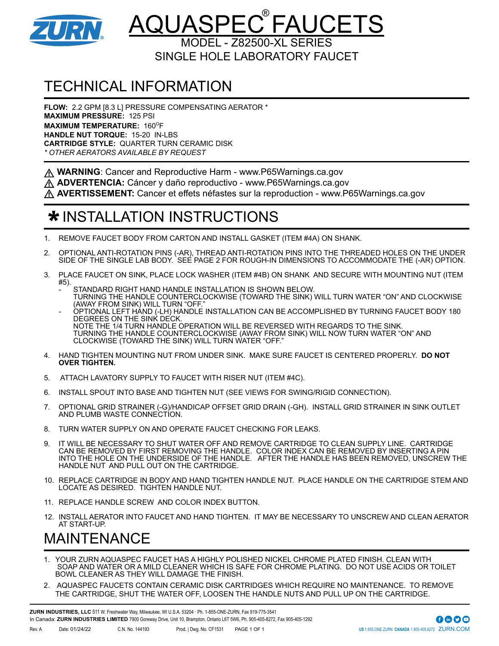

### <u>AQUASPEC®FAUCETS</u> MODEL - Z82500-XL SERIES

SINGLE HOLE LABORATORY FAUCET

# TECHNICAL INFORMATION

**FLOW:** 2.2 GPM [8.3 L] PRESSURE COMPENSATING AERATOR \* **MAXIMUM PRESSURE:** 125 PSI **MAXIMUM TEMPERATURE: 160°F HANDLE NUT TORQUE:** 15-20 IN-LBS **CARTRIDGE STYLE:** QUARTER TURN CERAMIC DISK *\* OTHER AERATORS AVAILABLE BY REQUEST*

A WARNING: Cancer and Reproductive Harm - www.P65Warnings.ca.gov

**ADVERTENCIA:** Cáncer y daño reproductivo - www.P65Warnings.ca.gov

**AVERTISSEMENT:** Cancer et effets néfastes sur la reproduction - www.P65Warnings.ca.gov

### $\bigstar$  INSTALLATION INSTRUCTIONS

- 1. REMOVE FAUCET BODY FROM CARTON AND INSTALL GASKET (ITEM #4A) ON SHANK.
- 2. OPTIONAL ANTI-ROTATION PINS (-AR), THREAD ANTI-ROTATION PINS INTO THE THREADED HOLES ON THE UNDER SIDE OF THE SINGLE LAB BODY. SEE PAGE 2 FOR ROUGH-IN DIMENSIONS TO ACCOMMODATE THE (-AR) OPTION.
- 3. PLACE FAUCET ON SINK, PLACE LOCK WASHER (ITEM #4B) ON SHANK AND SECURE WITH MOUNTING NUT (ITEM #5).
	- STANDARD RIGHT HAND HANDLE INSTALLATION IS SHOWN BELOW. TURNING THE HANDLE COUNTERCLOCKWISE (TOWARD THE SINK) WILL TURN WATER "ON" AND CLOCKWISE (AWAY FROM SINK) WILL TURN "OFF."
	- OPTIONAL LEFT HAND (-LH) HANDLE INSTALLATION CAN BE ACCOMPLISHED BY TURNING FAUCET BODY 180 DEGREES ON THE SINK DECK. NOTE THE 1/4 TURN HANDLE OPERATION WILL BE REVERSED WITH REGARDS TO THE SINK. TURNING THE HANDLE COUNTERCLOCKWISE (AWAY FROM SINK) WILL NOW TURN WATER "ON" AND CLOCKWISE (TOWARD THE SINK) WILL TURN WATER "OFF."
- 4. HAND TIGHTEN MOUNTING NUT FROM UNDER SINK. MAKE SURE FAUCET IS CENTERED PROPERLY. **DO NOT OVER TIGHTEN.**
- 5. ATTACH LAVATORY SUPPLY TO FAUCET WITH RISER NUT (ITEM #4C).
- 6. INSTALL SPOUT INTO BASE AND TIGHTEN NUT (SEE VIEWS FOR SWING/RIGID CONNECTION).
- 7. OPTIONAL GRID STRAINER (-G)/HANDICAP OFFSET GRID DRAIN (-GH). INSTALL GRID STRAINER IN SINK OUTLET AND PLUMB WASTE CONNECTION.
- 8. TURN WATER SUPPLY ON AND OPERATE FAUCET CHECKING FOR LEAKS.
- 9. IT WILL BE NECESSARY TO SHUT WATER OFF AND REMOVE CARTRIDGE TO CLEAN SUPPLY LINE. CARTRIDGE CAN BE REMOVED BY FIRST REMOVING THE HANDLE. COLOR INDEX CAN BE REMOVED BY INSERTING A PIN INTO THE HOLE ON THE UNDERSIDE OF THE HANDLE. AFTER THE HANDLE HAS BEEN REMOVED, UNSCREW THE HANDLE NUT AND PULL OUT ON THE CARTRIDGE.
- 10. REPLACE CARTRIDGE IN BODY AND HAND TIGHTEN HANDLE NUT. PLACE HANDLE ON THE CARTRIDGE STEM AND LOCATE AS DESIRED. TIGHTEN HANDLE NUT.
- 11. REPLACE HANDLE SCREW AND COLOR INDEX BUTTON.
- 12. INSTALL AERATOR INTO FAUCET AND HAND TIGHTEN. IT MAY BE NECESSARY TO UNSCREW AND CLEAN AERATOR AT START-UP.

# MAINTENANCE

- 1. YOUR ZURN AQUASPEC FAUCET HAS A HIGHLY POLISHED NICKEL CHROME PLATED FINISH. CLEAN WITH SOAP AND WATER OR A MILD CLEANER WHICH IS SAFE FOR CHROME PLATING. DO NOT USE ACIDS OR TOILET BOWL CLEANER AS THEY WILL DAMAGE THE FINISH.
- 2. AQUASPEC FAUCETS CONTAIN CERAMIC DISK CARTRIDGES WHICH REQUIRE NO MAINTENANCE. TO REMOVE THE CARTRIDGE, SHUT THE WATER OFF, LOOSEN THE HANDLE NUTS AND PULL UP ON THE CARTRIDGE.